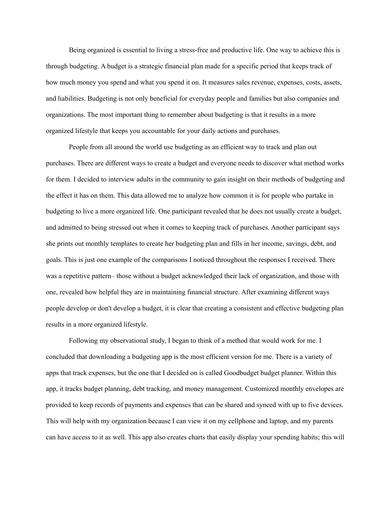Being organized is essential to living a stress-free and productive life. One way to achieve this is through budgeting. A budget is a strategic financial plan made for a specific period that keeps track of how much money you spend and what you spend it on. It measures sales revenue, expenses, costs, assets, and liabilities. Budgeting is not only beneficial for everyday people and families but also companies and organizations. The most important thing to remember about budgeting is that it results in a more organized lifestyle that keeps you accountable for your daily actions and purchases.

People from all around the world use budgeting as an efficient way to track and plan out purchases. There are different ways to create a budget and everyone needs to discover what method works for them. I decided to interview adults in the community to gain insight on their methods of budgeting and the effect it has on them. This data allowed me to analyze how common it is for people who partake in budgeting to live a more organized life. One participant revealed that he does not usually create a budget, and admitted to being stressed out when it comes to keeping track of purchases. Another participant says she prints out monthly templates to create her budgeting plan and fills in her income, savings, debt, and goals. This is just one example of the comparisons I noticed throughout the responses I received. There was a repetitive pattern– those without a budget acknowledged their lack of organization, and those with one, revealed how helpful they are in maintaining financial structure. After examining different ways people develop or don't develop a budget, it is clear that creating a consistent and effective budgeting plan results in a more organized lifestyle.

Following my observational study, I began to think of a method that would work for me. I concluded that downloading a budgeting app is the most efficient version for me. There is a variety of apps that track expenses, but the one that I decided on is called Goodbudget budget planner. Within this app, it tracks budget planning, debt tracking, and money management. Customized monthly envelopes are provided to keep records of payments and expenses that can be shared and synced with up to five devices. This will help with my organization because I can view it on my cellphone and laptop, and my parents can have access to it as well. This app also creates charts that easily display your spending habits; this will